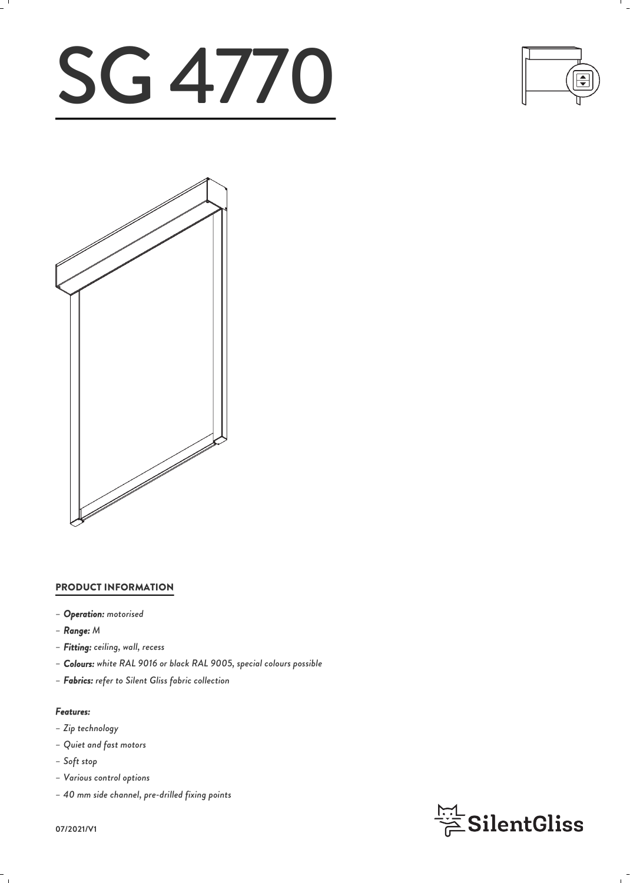# SG 4770





#### PRODUCT INFORMATION

- *– Operation: motorised*
- *– Range: M*
- *– Fitting: ceiling, wall, recess*
- *– Colours: white RAL 9016 or black RAL 9005, special colours possible*
- *– Fabrics: refer to Silent Gliss fabric collection*

#### *Features:*

- *– Zip technology*
- *– Quiet and fast motors*
- *– Soft stop*
- *– Various control options*
- *– 40 mm side channel, pre-drilled fixing points*

**07/2021/V1**

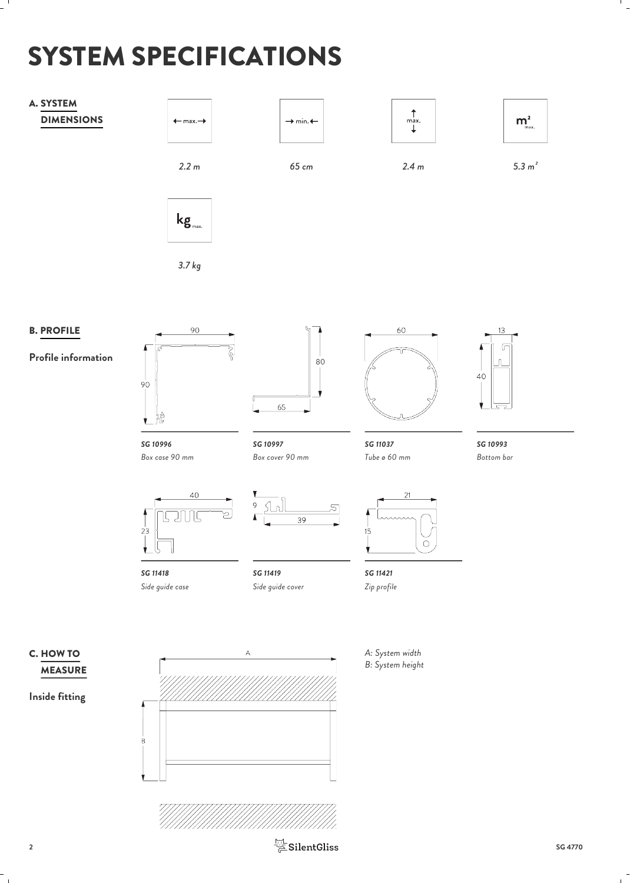## SYSTEM SPECIFICATIONS



 $\frac{\frac{1}{2}\sqrt{1}}{\hat{C}}$ SilentGliss SG 4770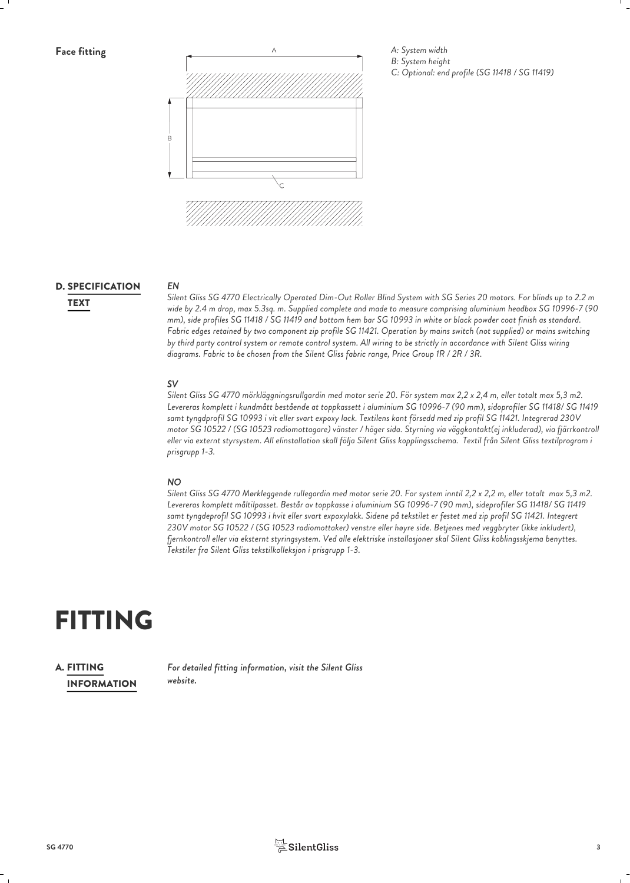

- *B: System height*
- *C: Optional: end profile (SG 11418 / SG 11419)*

## D. SPECIFICATION EN EN

*EN Silent Gliss SG 4770 Electrically Operated Dim-Out Roller Blind System with SG Series 20 motors. For blinds up to 2.2 m wide by 2.4 m drop, max 5.3sq. m. Supplied complete and made to measure comprising aluminium headbox SG 10996-7 (90* TEXT *mm), side profiles SG 11418 / SG 11419 and bottom hem bar SG 10993 in white or black powder coat finish as standard. Fabric edges retained by two component zip profile SG 11421. Operation by mains switch (not supplied) or mains switching by third party control system or remote control system. All wiring to be strictly in accordance with Silent Gliss wiring diagrams. Fabric to be chosen from the Silent Gliss fabric range, Price Group 1R / 2R / 3R.*

#### *SV*

*Silent Gliss SG 4770 mörkläggningsrullgardin med motor serie 20. För system max 2,2 x 2,4 m, eller totalt max 5,3 m2. Levereras komplett i kundmått bestående at toppkassett i aluminium SG 10996-7 (90 mm), sidoprofiler SG 11418/ SG 11419 samt tyngdprofil SG 10993 i vit eller svart expoxy lack. Textilens kant försedd med zip profil SG 11421. Integrerad 230V motor SG 10522 / (SG 10523 radiomottagare) vänster / höger sida. Styrning via väggkontakt(ej inkluderad), via fjärrkontroll eller via externt styrsystem. All elinstallation skall följa Silent Gliss kopplingsschema. Textil från Silent Gliss textilprogram i prisgrupp 1-3.*

#### *NO*

*Silent Gliss SG 4770 Mørkleggende rullegardin med motor serie 20. For system inntil 2,2 x 2,2 m, eller totalt max 5,3 m2. Levereras komplett måltilpasset. Består av toppkasse i aluminium SG 10996-7 (90 mm), sideprofiler SG 11418/ SG 11419 samt tyngdeprofil SG 10993 i hvit eller svart expoxylakk. Sidene på tekstilet er festet med zip profil SG 11421. Integrert 230V motor SG 10522 / (SG 10523 radiomottaker) venstre eller høyre side. Betjenes med veggbryter (ikke inkludert), fjernkontroll eller via eksternt styringsystem. Ved alle elektriske installasjoner skal Silent Gliss koblingsskjema benyttes. Tekstiler fra Silent Gliss tekstilkolleksjon i prisgrupp 1-3.*

## FITTING

INFORMATION **A. FITTING** 

*For detailed fitting information, visit the Silent Gliss* FITTING *website.*

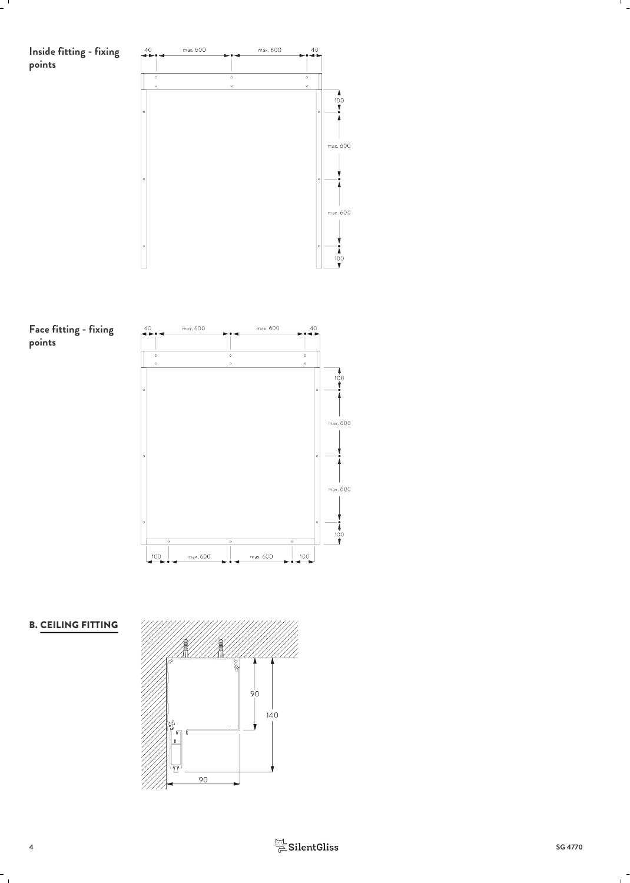

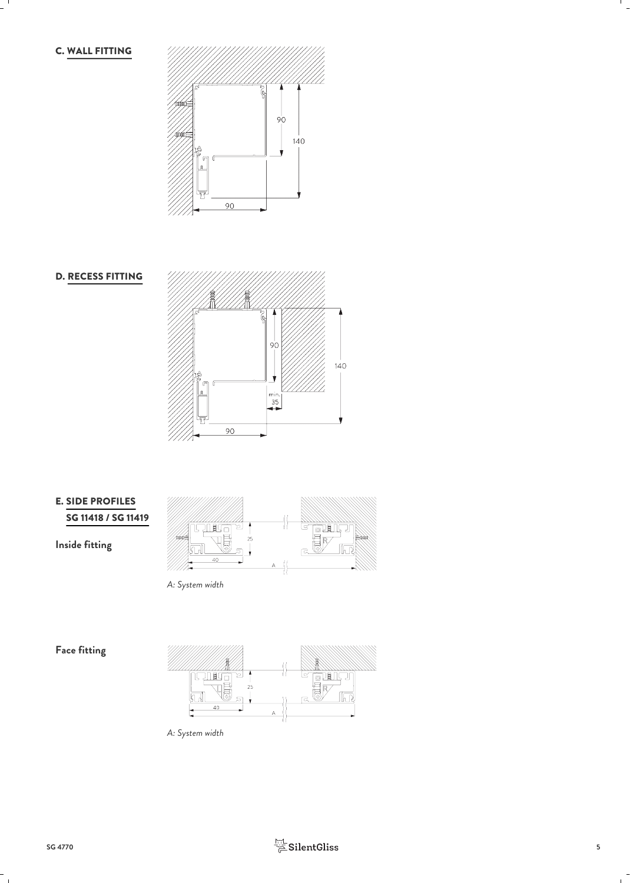C. WALL FITTING









*A: System width*

**Face fitting**



*A: System width*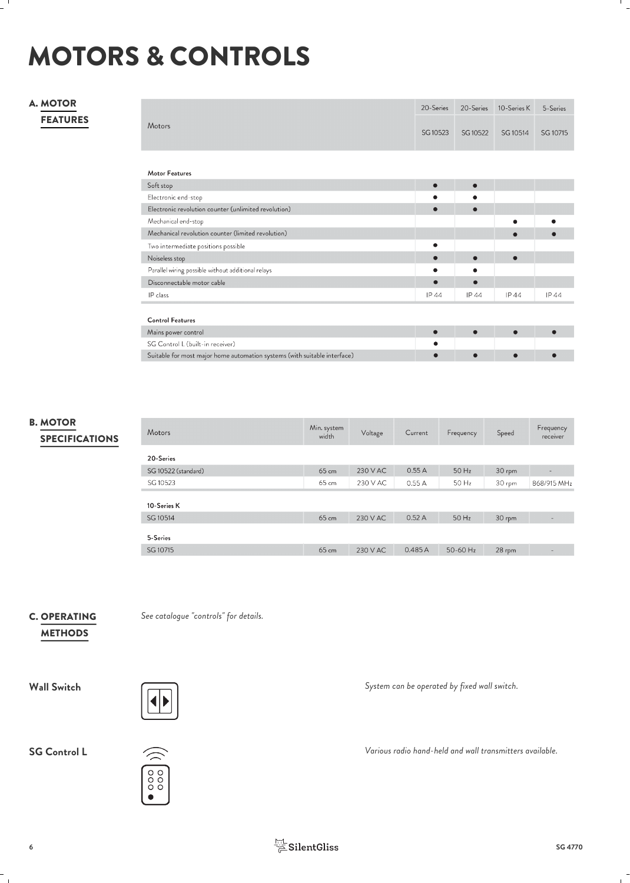## MOTORS & CONTROLS

## FEATURES

| A. MOTOR        | Motors                                                                    | 20-Series |             | 20-Series 10-Series K | 5-Series |
|-----------------|---------------------------------------------------------------------------|-----------|-------------|-----------------------|----------|
| <b>FEATURES</b> |                                                                           | SG 10523  | SG 10522    | SG 10514              | SG 10715 |
|                 | <b>Motor Features</b>                                                     |           |             |                       |          |
|                 | Soft stop                                                                 | $\bullet$ | $\bullet$   |                       |          |
|                 | Electronic end-stop                                                       |           | $\bullet$   |                       |          |
|                 | Electronic revolution counter (unlimited revolution)                      |           | $\bullet$   |                       |          |
|                 | Mechanical end-stop                                                       |           |             |                       |          |
|                 | Mechanical revolution counter (limited revolution)                        |           |             |                       |          |
|                 | Two intermediate positions possible                                       | $\bullet$ |             |                       |          |
|                 | Noiseless stop                                                            |           | $\bullet$   | $\bullet$             |          |
|                 | Parallel wiring possible without additional relays                        |           | $\bullet$   |                       |          |
|                 | Disconnectable motor cable                                                |           | $\bullet$   |                       |          |
|                 | IP class                                                                  | IP 44     | <b>IP44</b> | <b>IP44</b>           | IP44     |
|                 | <b>Control Features</b>                                                   |           |             |                       |          |
|                 | Mains power control                                                       |           | $\bullet$   | $\bullet$             |          |
|                 | SG Control L (built-in receiver)                                          |           |             |                       |          |
|                 | Suitable for most major home automation systems (with suitable interface) |           | $\bullet$   |                       |          |
|                 |                                                                           |           |             |                       |          |

## SPECIFICATIONS

| B. MOTOR<br><b>SPECIFICATIONS</b> | Motors              | Min. system<br>width | Voltage  | Current | Frequency    | Speed  | Frequency<br>receiver    |
|-----------------------------------|---------------------|----------------------|----------|---------|--------------|--------|--------------------------|
|                                   | 20-Series           |                      |          |         |              |        |                          |
|                                   | SG 10522 (standard) | 65 cm                | 230 V AC | 0.55A   | $50$ Hz      | 30 rpm |                          |
|                                   | SG 10523            | 65 cm                | 230 V AC | 0.55A   | 50 Hz        | 30 rpm | 868/915 MHz              |
|                                   | 10-Series K         |                      |          |         |              |        |                          |
|                                   | SG 10514            | 65 cm                | 230 V AC | 0.52A   | $50$ Hz      | 30 rpm | $\overline{\phantom{a}}$ |
|                                   | 5-Series            |                      |          |         |              |        |                          |
|                                   | SG 10715            | 65 cm                | 230 V AC | 0.485A  | $50 - 60$ Hz | 28 rpm | $\overline{\phantom{a}}$ |

#### **METHODS C. OPERATING**

*See catalogue "controls" for details.* OPERATING





Wall Switch System can be operated by fixed wall switch.<br> **EXECUTE:**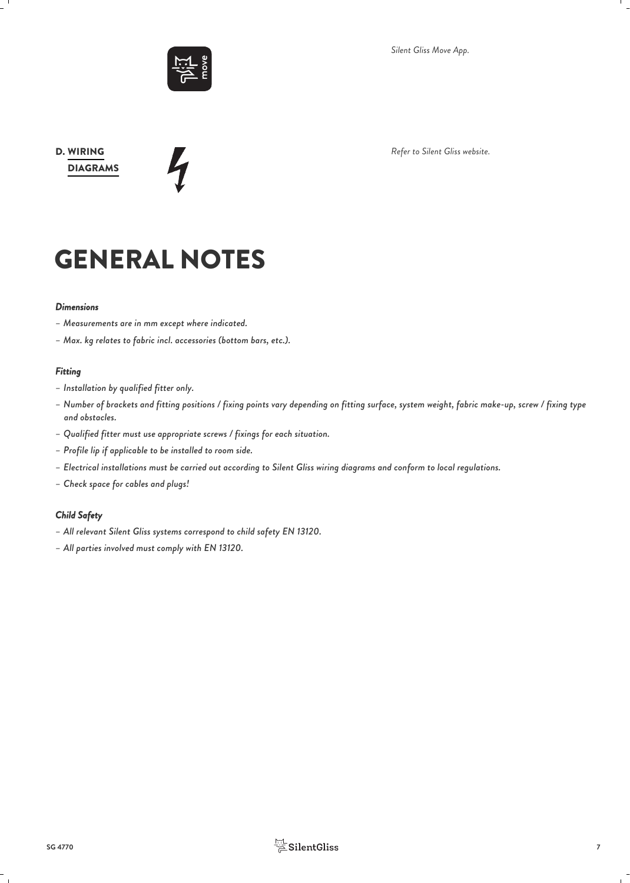*Silent Gliss Move App.*



DIAGRAMS **D. WIRING** 

 $Refer to Silent Gliss website.$ 

## GENERAL NOTES

#### *Dimensions*

- *– Measurements are in mm except where indicated.*
- *– Max. kg relates to fabric incl. accessories (bottom bars, etc.).*

#### *Fitting*

- *– Installation by qualified fitter only.*
- *– Number of brackets and fitting positions / fixing points vary depending on fitting surface, system weight, fabric make-up, screw / fixing type and obstacles.*
- *– Qualified fitter must use appropriate screws / fixings for each situation.*
- *– Profile lip if applicable to be installed to room side.*
- *– Electrical installations must be carried out according to Silent Gliss wiring diagrams and conform to local regulations.*
- *– Check space for cables and plugs!*

#### *Child Safety*

- *– All relevant Silent Gliss systems correspond to child safety EN 13120.*
- *– All parties involved must comply with EN 13120.*

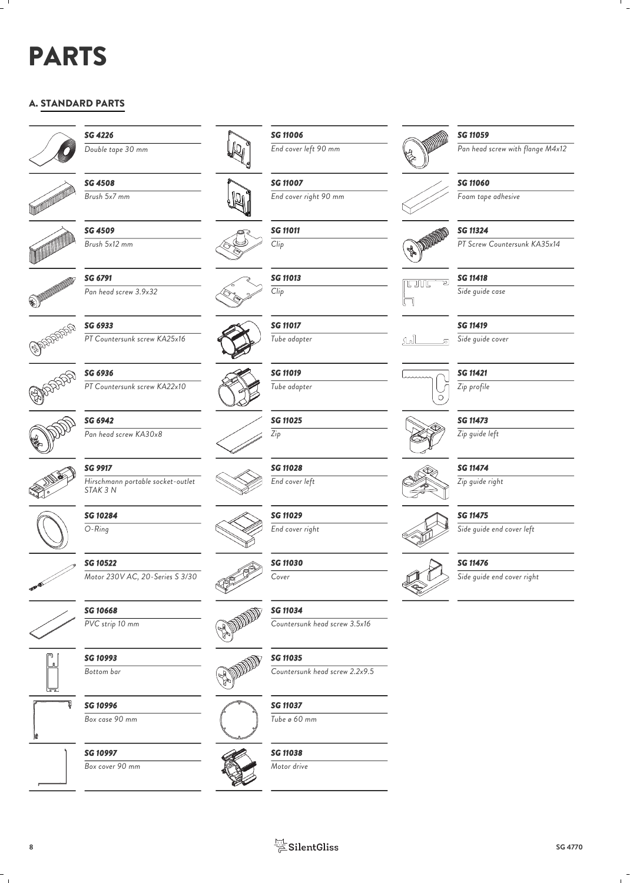## PARTS

#### A. STANDARD PARTS



**SG 4226**<br>
Double tape 30 mm

*SG 4508*

*Brush 5x12 mm*



*SG 4509*



*SG 6791* **Pan head screw 3.9x32** Clip



*SG 6933 PT Countersunk screw KA25x16*



*SG 6936 PT Countersunk screw KA22x10*



*SG 9917 Hirschmann portable socket-outlet STAK 3 N*



*SG 10284 O-Ring*

*SG 6942*

*SG 10522 Motor 230V AC, 20-Series S 3/30*





Ţ

*SG 10993 Bottom bar*

*SG 10668 PVC strip 10 mm*

*SG 10996 Box case 90 mm*





*SG 11006*

*SG 11007*









*SG 11017 Tube adapter*

*SG 11019 Tube adapter*

*SG 11025*

*SG 11028 End cover left*





*SG 11029*

*End cover right*













*SG 11038 Motor drive*





*Double tape 30 mm End cover left 90 mm Pan head screw with flange M4x12*

#### *SG 11060*



*Foam tape adhesive*

#### *SG 11324*

*SG 11418 Side guide case*

*SG 11419*



*PT Screw Countersunk KA35x14*

**SG 11013 CONSUMING THE READ PROPERTY OF THE READ PROPERTY OF THE READ PROPERTY.** ज *Clip* J



*Side guide cover*



S)

*Zip profile*

*SG 11473*



#### *SG 11474*

*Zip guide right*



*SG 11475*

*Side guide end cover left*



*Side guide end cover right*



*SG 11035*





 $\frac{\frac{1}{111}}{\cancel{2}}$ SilentGliss SG 4770



*Zip*



*SG 11034*

*Countersunk head screw 3.5x16*



*Tube ø 60 mm*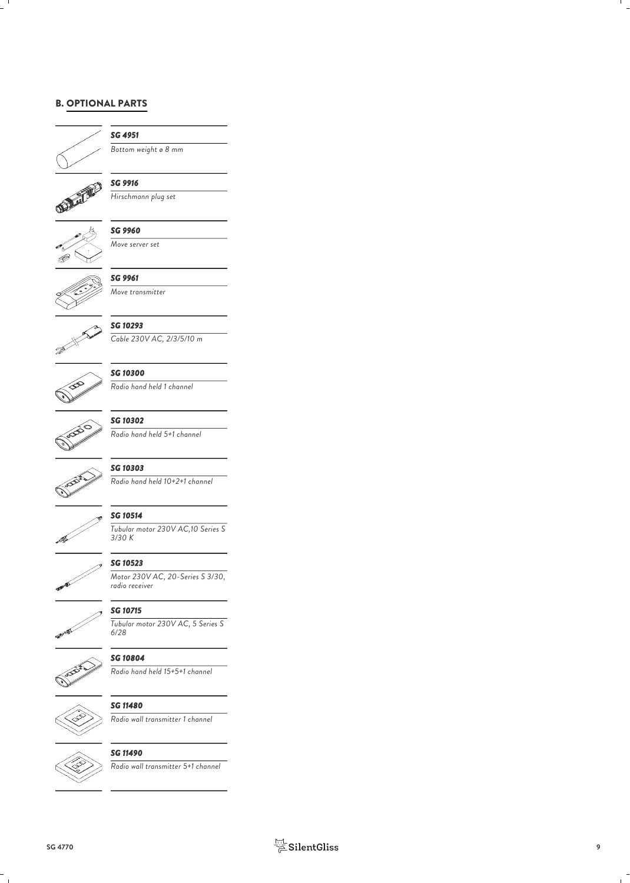#### B. OPTIONAL PARTS



#### *SG 4951*

*Bottom weight ø 8 mm*



#### *SG 9916 Hirschmann plug set*







#### *SG 9961 Move transmitter*



#### *SG 10293 Cable 230V AC, 2/3/5/10 m*

*SG 10300 Radio hand held 1 channel*



### *SG 10302*

*Radio hand held 5+1 channel*



#### *SG 10303*

*Radio hand held 10+2+1 channel*



#### *SG 10514*

*Tubular motor 230V AC,10 Series S 3/30 K*



## *SG 10523*

*SG 10715*

*Motor 230V AC, 20-Series S 3/30, radio receiver*



#### *Tubular motor 230V AC, 5 Series S 6/28*

*SG 10804 Radio hand held 15+5+1 channel*



#### *SG 11480*

*Radio wall transmitter 1 channel*



#### *SG 11490*

*Radio wall transmitter 5+1 channel*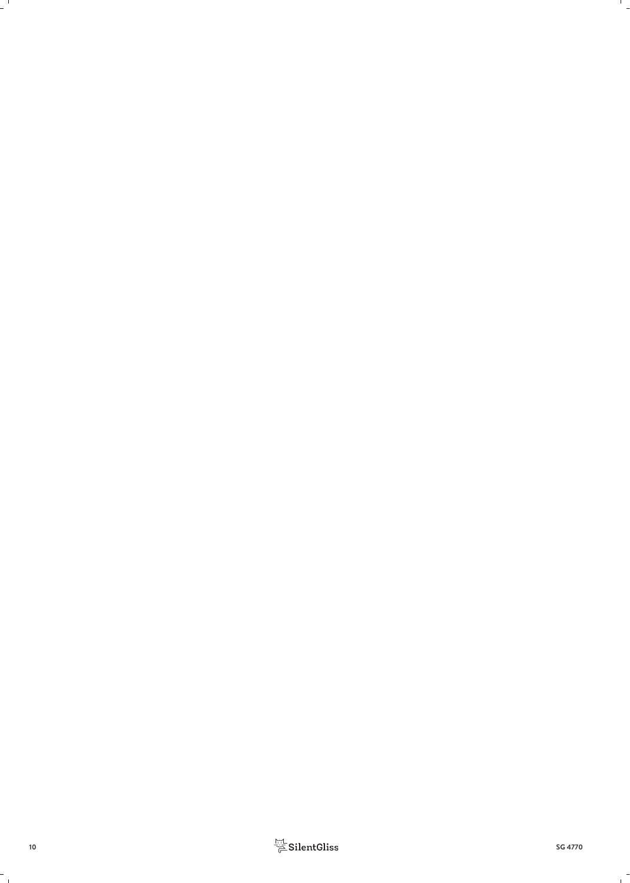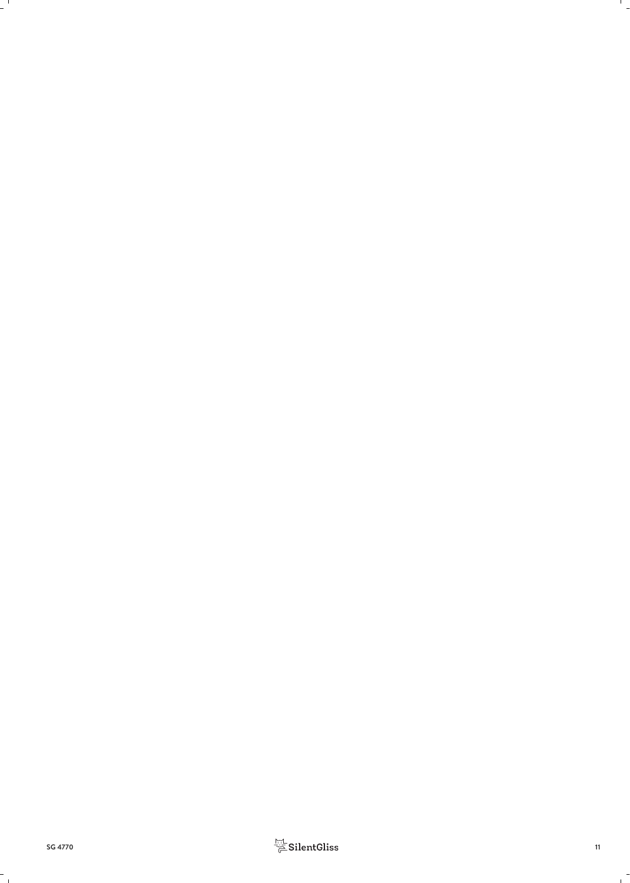